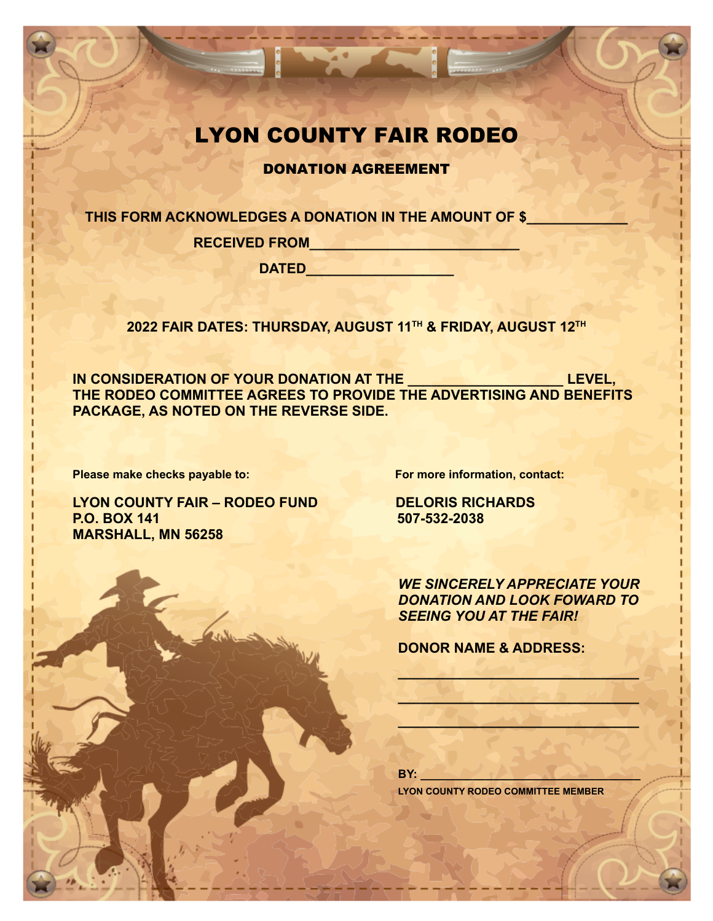## LYON COUNTY FAIR RODEO

I WAS ALLEY

DONATION AGREEMENT

**THIS FORM ACKNOWLEDGES A DONATION IN THE AMOUNT OF \$\_\_\_\_\_\_\_\_\_\_\_\_\_**

**RECEIVED FROM\_\_\_\_\_\_\_\_\_\_\_\_\_\_\_\_\_\_\_\_\_\_\_\_\_\_\_**

**DATED\_\_\_\_\_\_\_\_\_\_\_\_\_\_\_\_\_\_\_**

**2022 FAIR DATES: THURSDAY, AUGUST 11TH & FRIDAY, AUGUST 12TH**

**IN CONSIDERATION OF YOUR DONATION AT THE \_\_\_\_\_\_\_\_\_\_\_\_\_\_\_\_\_\_\_\_ LEVEL, THE RODEO COMMITTEE AGREES TO PROVIDE THE ADVERTISING AND BENEFITS PACKAGE, AS NOTED ON THE REVERSE SIDE.**

**Please make checks payable to: For more information, contact:** 

**LYON COUNTY FAIR – RODEO FUND DELORIS RICHARDS P.O. BOX 141 507-532-2038 MARSHALL, MN 56258**

*WE SINCERELY APPRECIATE YOUR DONATION AND LOOK FOWARD TO SEEING YOU AT THE FAIR!*

 $\mathbb{Z} \cup \mathbb{Z} \cup \mathbb{Z} \cup \mathbb{Z} \cup \mathbb{Z}$ 

 $\frac{1}{2}$   $\frac{1}{2}$   $\frac{1}{2}$   $\frac{1}{2}$   $\frac{1}{2}$   $\frac{1}{2}$   $\frac{1}{2}$   $\frac{1}{2}$   $\frac{1}{2}$   $\frac{1}{2}$   $\frac{1}{2}$   $\frac{1}{2}$   $\frac{1}{2}$   $\frac{1}{2}$   $\frac{1}{2}$   $\frac{1}{2}$   $\frac{1}{2}$   $\frac{1}{2}$   $\frac{1}{2}$   $\frac{1}{2}$   $\frac{1}{2}$   $\frac{1}{2}$ 

 $\sim$ 

**DONOR NAME & ADDRESS:**

**BY: \_\_\_\_\_\_\_\_\_\_\_\_\_\_\_\_\_\_\_\_\_\_\_\_\_\_\_\_\_\_\_\_\_\_**

**LYON COUNTY RODEO COMMITTEE MEMBER**